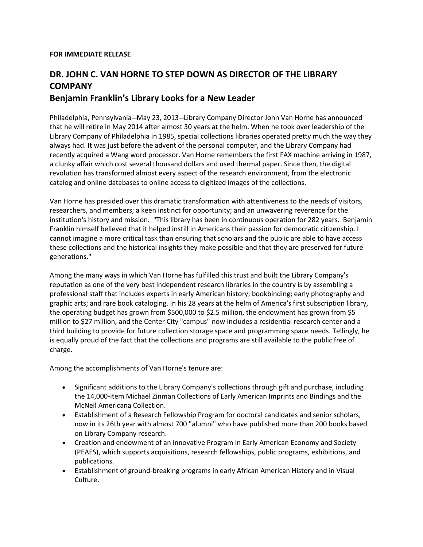## **FOR IMMEDIATE RELEASE**

## **DR. JOHN C. VAN HORNE TO STEP DOWN AS DIRECTOR OF THE LIBRARY COMPANY Benjamin Franklin's Library Looks for a New Leader**

## Philadelphia, Pennsylvania--May 23, 2013--Library Company Director John Van Horne has announced that he will retire in May 2014 after almost 30 years at the helm. When he took over leadership of the Library Company of Philadelphia in 1985, special collections libraries operated pretty much the way they always had. It was just before the advent of the personal computer, and the Library Company had recently acquired a Wang word processor. Van Horne remembers the first FAX machine arriving in 1987, a clunky affair which cost several thousand dollars and used thermal paper. Since then, the digital revolution has transformed almost every aspect of the research environment, from the electronic catalog and online databases to online access to digitized images of the collections.

Van Horne has presided over this dramatic transformation with attentiveness to the needs of visitors, researchers, and members; a keen instinct for opportunity; and an unwavering reverence for the institution's history and mission. "This library has been in continuous operation for 282 years. Benjamin Franklin himself believed that it helped instill in Americans their passion for democratic citizenship. I cannot imagine a more critical task than ensuring that scholars and the public are able to have access these collections and the historical insights they make possible-and that they are preserved for future generations."

Among the many ways in which Van Horne has fulfilled this trust and built the Library Company's reputation as one of the very best independent research libraries in the country is by assembling a professional staff that includes experts in early American history; bookbinding; early photography and graphic arts; and rare book cataloging. In his 28 years at the helm of America's first subscription library, the operating budget has grown from \$500,000 to \$2.5 million, the endowment has grown from \$5 million to \$27 million, and the Center City "campus" now includes a residential research center and a third building to provide for future collection storage space and programming space needs. Tellingly, he is equally proud of the fact that the collections and programs are still available to the public free of charge.

Among the accomplishments of Van Horne's tenure are:

- Significant additions to the Library Company's collections through gift and purchase, including the 14,000-item Michael Zinman Collections of Early American Imprints and Bindings and the McNeil Americana Collection.
- Establishment of a Research Fellowship Program for doctoral candidates and senior scholars, now in its 26th year with almost 700 "alumni" who have published more than 200 books based on Library Company research.
- Creation and endowment of an innovative Program in Early American Economy and Society (PEAES), which supports acquisitions, research fellowships, public programs, exhibitions, and publications.
- Establishment of ground-breaking programs in early African American History and in Visual Culture.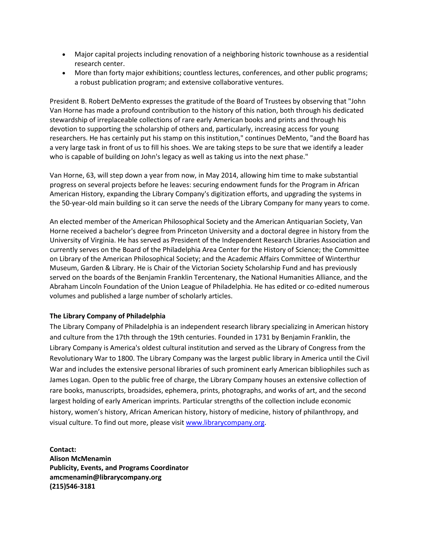- Major capital projects including renovation of a neighboring historic townhouse as a residential research center.
- More than forty major exhibitions; countless lectures, conferences, and other public programs; a robust publication program; and extensive collaborative ventures.

President B. Robert DeMento expresses the gratitude of the Board of Trustees by observing that "John Van Horne has made a profound contribution to the history of this nation, both through his dedicated stewardship of irreplaceable collections of rare early American books and prints and through his devotion to supporting the scholarship of others and, particularly, increasing access for young researchers. He has certainly put his stamp on this institution," continues DeMento, "and the Board has a very large task in front of us to fill his shoes. We are taking steps to be sure that we identify a leader who is capable of building on John's legacy as well as taking us into the next phase."

Van Horne, 63, will step down a year from now, in May 2014, allowing him time to make substantial progress on several projects before he leaves: securing endowment funds for the Program in African American History, expanding the Library Company's digitization efforts, and upgrading the systems in the 50-year-old main building so it can serve the needs of the Library Company for many years to come.

An elected member of the American Philosophical Society and the American Antiquarian Society, Van Horne received a bachelor's degree from Princeton University and a doctoral degree in history from the University of Virginia. He has served as President of the Independent Research Libraries Association and currently serves on the Board of the Philadelphia Area Center for the History of Science; the Committee on Library of the American Philosophical Society; and the Academic Affairs Committee of Winterthur Museum, Garden & Library. He is Chair of the Victorian Society Scholarship Fund and has previously served on the boards of the Benjamin Franklin Tercentenary, the National Humanities Alliance, and the Abraham Lincoln Foundation of the Union League of Philadelphia. He has edited or co-edited numerous volumes and published a large number of scholarly articles.

## **The Library Company of Philadelphia**

The Library Company of Philadelphia is an independent research library specializing in American history and culture from the 17th through the 19th centuries. Founded in 1731 by Benjamin Franklin, the Library Company is America's oldest cultural institution and served as the Library of Congress from the Revolutionary War to 1800. The Library Company was the largest public library in America until the Civil War and includes the extensive personal libraries of such prominent early American bibliophiles such as James Logan. Open to the public free of charge, the Library Company houses an extensive collection of rare books, manuscripts, broadsides, ephemera, prints, photographs, and works of art, and the second largest holding of early American imprints. Particular strengths of the collection include economic history, women's history, African American history, history of medicine, history of philanthropy, and visual culture. To find out more, please visit [www.librarycompany.org.](http://www.librarycompany.org/)

**Contact: Alison McMenamin Publicity, Events, and Programs Coordinator amcmenamin@librarycompany.org (215)546-3181**